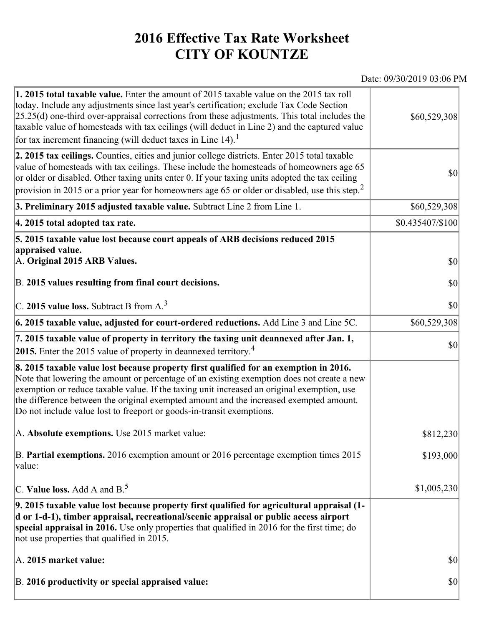## **2016 Effective Tax Rate Worksheet CITY OF KOUNTZE**

## Date: 09/30/2019 03:06 PM

| 1. 2015 total taxable value. Enter the amount of 2015 taxable value on the 2015 tax roll<br>today. Include any adjustments since last year's certification; exclude Tax Code Section<br>$[25.25(d)$ one-third over-appraisal corrections from these adjustments. This total includes the<br>taxable value of homesteads with tax ceilings (will deduct in Line 2) and the captured value<br>for tax increment financing (will deduct taxes in Line $14$ ). <sup>1</sup> | \$60,529,308     |
|-------------------------------------------------------------------------------------------------------------------------------------------------------------------------------------------------------------------------------------------------------------------------------------------------------------------------------------------------------------------------------------------------------------------------------------------------------------------------|------------------|
| 2. 2015 tax ceilings. Counties, cities and junior college districts. Enter 2015 total taxable<br>value of homesteads with tax ceilings. These include the homesteads of homeowners age 65<br>or older or disabled. Other taxing units enter 0. If your taxing units adopted the tax ceiling<br>provision in 2015 or a prior year for homeowners age 65 or older or disabled, use this step. <sup>2</sup>                                                                | \$0              |
| 3. Preliminary 2015 adjusted taxable value. Subtract Line 2 from Line 1.                                                                                                                                                                                                                                                                                                                                                                                                | \$60,529,308     |
| 4. 2015 total adopted tax rate.                                                                                                                                                                                                                                                                                                                                                                                                                                         | \$0.435407/\$100 |
| 5. 2015 taxable value lost because court appeals of ARB decisions reduced 2015<br>appraised value.<br>A. Original 2015 ARB Values.<br>B. 2015 values resulting from final court decisions.                                                                                                                                                                                                                                                                              | \$0<br>\$0       |
|                                                                                                                                                                                                                                                                                                                                                                                                                                                                         |                  |
| C. 2015 value loss. Subtract B from A. <sup>3</sup>                                                                                                                                                                                                                                                                                                                                                                                                                     | \$0              |
| 6. 2015 taxable value, adjusted for court-ordered reductions. Add Line 3 and Line 5C.                                                                                                                                                                                                                                                                                                                                                                                   | \$60,529,308     |
| 7. 2015 taxable value of property in territory the taxing unit deannexed after Jan. 1,<br><b>2015.</b> Enter the 2015 value of property in deannexed territory. <sup>4</sup>                                                                                                                                                                                                                                                                                            | \$0              |
| 8. 2015 taxable value lost because property first qualified for an exemption in 2016.<br>Note that lowering the amount or percentage of an existing exemption does not create a new<br>exemption or reduce taxable value. If the taxing unit increased an original exemption, use<br>the difference between the original exempted amount and the increased exempted amount.<br>Do not include value lost to freeport or goods-in-transit exemptions.                    |                  |
| A. Absolute exemptions. Use 2015 market value:                                                                                                                                                                                                                                                                                                                                                                                                                          | \$812,230        |
| B. Partial exemptions. 2016 exemption amount or 2016 percentage exemption times 2015<br>value:                                                                                                                                                                                                                                                                                                                                                                          | \$193,000        |
| C. Value loss. Add A and $B^5$ .                                                                                                                                                                                                                                                                                                                                                                                                                                        | \$1,005,230      |
| 9. 2015 taxable value lost because property first qualified for agricultural appraisal (1-<br>d or 1-d-1), timber appraisal, recreational/scenic appraisal or public access airport<br>special appraisal in 2016. Use only properties that qualified in 2016 for the first time; do<br>not use properties that qualified in 2015.                                                                                                                                       |                  |
| A. 2015 market value:                                                                                                                                                                                                                                                                                                                                                                                                                                                   | \$0              |
| B. 2016 productivity or special appraised value:                                                                                                                                                                                                                                                                                                                                                                                                                        | \$0              |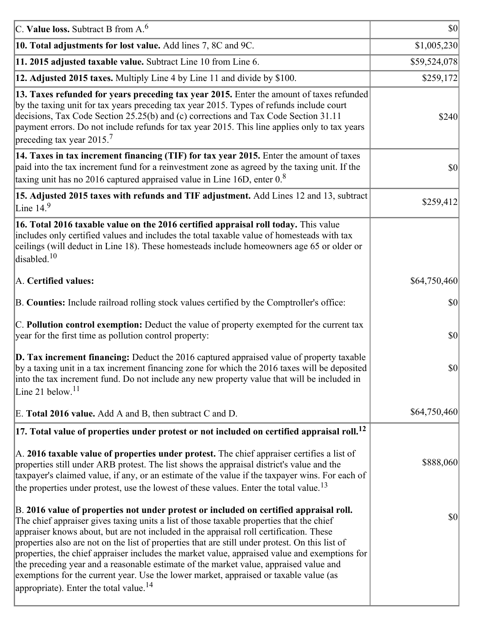| C. Value loss. Subtract B from $A6$                                                                                                                                                                                                                                                                                                                                                                                                                                                                                                                                                                                                                                                                                      | $ 10\rangle$ |
|--------------------------------------------------------------------------------------------------------------------------------------------------------------------------------------------------------------------------------------------------------------------------------------------------------------------------------------------------------------------------------------------------------------------------------------------------------------------------------------------------------------------------------------------------------------------------------------------------------------------------------------------------------------------------------------------------------------------------|--------------|
| 10. Total adjustments for lost value. Add lines 7, 8C and 9C.                                                                                                                                                                                                                                                                                                                                                                                                                                                                                                                                                                                                                                                            | \$1,005,230  |
| 11. 2015 adjusted taxable value. Subtract Line 10 from Line 6.                                                                                                                                                                                                                                                                                                                                                                                                                                                                                                                                                                                                                                                           | \$59,524,078 |
| 12. Adjusted 2015 taxes. Multiply Line 4 by Line 11 and divide by \$100.                                                                                                                                                                                                                                                                                                                                                                                                                                                                                                                                                                                                                                                 | \$259,172    |
| 13. Taxes refunded for years preceding tax year 2015. Enter the amount of taxes refunded<br>by the taxing unit for tax years preceding tax year 2015. Types of refunds include court<br>decisions, Tax Code Section 25.25(b) and (c) corrections and Tax Code Section 31.11<br>payment errors. Do not include refunds for tax year 2015. This line applies only to tax years<br>preceding tax year 2015. <sup>7</sup>                                                                                                                                                                                                                                                                                                    | \$240        |
| 14. Taxes in tax increment financing (TIF) for tax year 2015. Enter the amount of taxes<br>paid into the tax increment fund for a reinvestment zone as agreed by the taxing unit. If the<br>taxing unit has no 2016 captured appraised value in Line 16D, enter $0.8$                                                                                                                                                                                                                                                                                                                                                                                                                                                    | 30           |
| 15. Adjusted 2015 taxes with refunds and TIF adjustment. Add Lines 12 and 13, subtract<br>Line $149$                                                                                                                                                                                                                                                                                                                                                                                                                                                                                                                                                                                                                     | \$259,412    |
| 16. Total 2016 taxable value on the 2016 certified appraisal roll today. This value<br>includes only certified values and includes the total taxable value of homesteads with tax<br>ceilings (will deduct in Line 18). These homesteads include homeowners age 65 or older or<br>disabled. <sup>10</sup>                                                                                                                                                                                                                                                                                                                                                                                                                |              |
| A. Certified values:                                                                                                                                                                                                                                                                                                                                                                                                                                                                                                                                                                                                                                                                                                     | \$64,750,460 |
| B. Counties: Include railroad rolling stock values certified by the Comptroller's office:                                                                                                                                                                                                                                                                                                                                                                                                                                                                                                                                                                                                                                | \$0          |
| C. Pollution control exemption: Deduct the value of property exempted for the current tax<br>year for the first time as pollution control property:                                                                                                                                                                                                                                                                                                                                                                                                                                                                                                                                                                      | $ 10\rangle$ |
| $\vert$ D. Tax increment financing: Deduct the 2016 captured appraised value of property taxable<br>by a taxing unit in a tax increment financing zone for which the 2016 taxes will be deposited<br>into the tax increment fund. Do not include any new property value that will be included in<br>Line 21 below. <sup>11</sup>                                                                                                                                                                                                                                                                                                                                                                                         | \$0          |
| E. Total 2016 value. Add A and B, then subtract C and D.                                                                                                                                                                                                                                                                                                                                                                                                                                                                                                                                                                                                                                                                 | \$64,750,460 |
| $ 17$ . Total value of properties under protest or not included on certified appraisal roll. <sup>12</sup>                                                                                                                                                                                                                                                                                                                                                                                                                                                                                                                                                                                                               |              |
| A. 2016 taxable value of properties under protest. The chief appraiser certifies a list of<br>properties still under ARB protest. The list shows the appraisal district's value and the<br>taxpayer's claimed value, if any, or an estimate of the value if the taxpayer wins. For each of<br>the properties under protest, use the lowest of these values. Enter the total value. <sup>13</sup>                                                                                                                                                                                                                                                                                                                         | \$888,060    |
| B. 2016 value of properties not under protest or included on certified appraisal roll.<br>The chief appraiser gives taxing units a list of those taxable properties that the chief<br>appraiser knows about, but are not included in the appraisal roll certification. These<br>properties also are not on the list of properties that are still under protest. On this list of<br>properties, the chief appraiser includes the market value, appraised value and exemptions for<br>the preceding year and a reasonable estimate of the market value, appraised value and<br>exemptions for the current year. Use the lower market, appraised or taxable value (as<br>appropriate). Enter the total value. <sup>14</sup> | \$0          |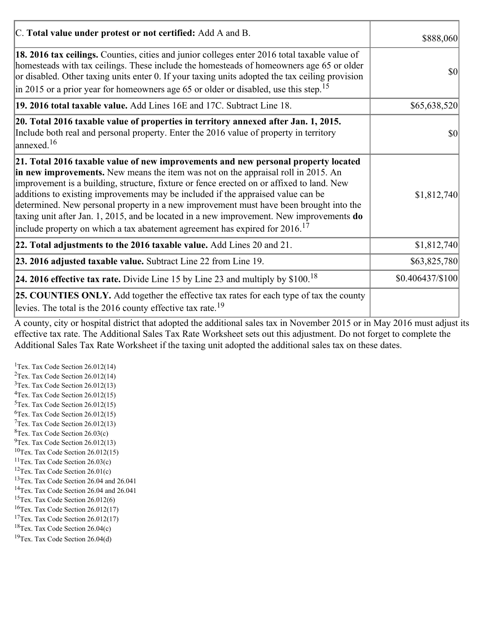| C. Total value under protest or not certified: Add A and B.                                                                                                                                                                                                                                                                                                                                                                                                                                                                                                                                                                                  | \$888,060<br>$ 10\rangle$ |
|----------------------------------------------------------------------------------------------------------------------------------------------------------------------------------------------------------------------------------------------------------------------------------------------------------------------------------------------------------------------------------------------------------------------------------------------------------------------------------------------------------------------------------------------------------------------------------------------------------------------------------------------|---------------------------|
| 18. 2016 tax ceilings. Counties, cities and junior colleges enter 2016 total taxable value of<br>homesteads with tax ceilings. These include the homesteads of homeowners age 65 or older<br>or disabled. Other taxing units enter 0. If your taxing units adopted the tax ceiling provision<br>$\vert$ in 2015 or a prior year for homeowners age 65 or older or disabled, use this step. <sup>15</sup>                                                                                                                                                                                                                                     |                           |
| 19. 2016 total taxable value. Add Lines 16E and 17C. Subtract Line 18.                                                                                                                                                                                                                                                                                                                                                                                                                                                                                                                                                                       | \$65,638,520              |
| 20. Total 2016 taxable value of properties in territory annexed after Jan. 1, 2015.<br>Include both real and personal property. Enter the 2016 value of property in territory<br>$\alpha$ annexed. <sup>16</sup>                                                                                                                                                                                                                                                                                                                                                                                                                             | $ 10\rangle$              |
| 21. Total 2016 taxable value of new improvements and new personal property located<br>in new improvements. New means the item was not on the appraisal roll in 2015. An<br>improvement is a building, structure, fixture or fence erected on or affixed to land. New<br>additions to existing improvements may be included if the appraised value can be<br>determined. New personal property in a new improvement must have been brought into the<br>taxing unit after Jan. 1, 2015, and be located in a new improvement. New improvements do<br>include property on which a tax abatement agreement has expired for $2016$ . <sup>17</sup> | \$1,812,740               |
| 22. Total adjustments to the 2016 taxable value. Add Lines 20 and 21.                                                                                                                                                                                                                                                                                                                                                                                                                                                                                                                                                                        | \$1,812,740               |
| 23. 2016 adjusted taxable value. Subtract Line 22 from Line 19.                                                                                                                                                                                                                                                                                                                                                                                                                                                                                                                                                                              | \$63,825,780              |
| <b>24. 2016 effective tax rate.</b> Divide Line 15 by Line 23 and multiply by $$100$ . <sup>18</sup>                                                                                                                                                                                                                                                                                                                                                                                                                                                                                                                                         | $$0.406437/\$100$         |
| <b>25. COUNTIES ONLY.</b> Add together the effective tax rates for each type of tax the county<br>levies. The total is the 2016 county effective tax rate. <sup>19</sup>                                                                                                                                                                                                                                                                                                                                                                                                                                                                     |                           |

A county, city or hospital district that adopted the additional sales tax in November 2015 or in May 2016 must adjust its effective tax rate. The Additional Sales Tax Rate Worksheet sets out this adjustment. Do not forget to complete the Additional Sales Tax Rate Worksheet if the taxing unit adopted the additional sales tax on these dates.

<sup>1</sup>Tex. Tax Code Section  $26.012(14)$ <sup>2</sup>Tex. Tax Code Section  $26.012(14)$  $3$ Tex. Tax Code Section 26.012(13)  ${}^{4}$ Tex. Tax Code Section 26.012(15)  $5$ Tex. Tax Code Section 26.012(15)  ${}^{6}$ Tex. Tax Code Section 26.012(15)  $7$ Tex. Tax Code Section 26.012(13)  ${}^{8}$ Tex. Tax Code Section 26.03(c)  $^{9}$ Tex. Tax Code Section 26.012(13)  $10$ Tex. Tax Code Section 26.012(15) <sup>11</sup>Tex. Tax Code Section  $26.03(c)$ <sup>12</sup>Tex. Tax Code Section  $26.01(c)$ <sup>13</sup>Tex. Tax Code Section 26.04 and 26.041 <sup>14</sup>Tex. Tax Code Section 26.04 and 26.041 <sup>15</sup>Tex. Tax Code Section  $26.012(6)$  $16$ Tex. Tax Code Section 26.012(17) <sup>17</sup>Tex. Tax Code Section  $26.012(17)$ <sup>18</sup>Tex. Tax Code Section 26.04(c) <sup>19</sup>Tex. Tax Code Section 26.04(d)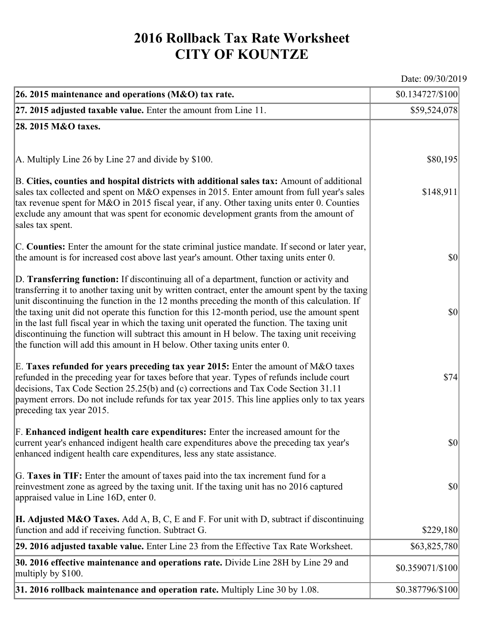## **2016 Rollback Tax Rate Worksheet CITY OF KOUNTZE**

Date: 09/30/2019

| 26. 2015 maintenance and operations ( $M&O$ ) tax rate.                                                                                                                                                                                                                                                                                                                                                                                                                                                                                                                                                                                                                 | \$0.134727/\$100                    |
|-------------------------------------------------------------------------------------------------------------------------------------------------------------------------------------------------------------------------------------------------------------------------------------------------------------------------------------------------------------------------------------------------------------------------------------------------------------------------------------------------------------------------------------------------------------------------------------------------------------------------------------------------------------------------|-------------------------------------|
| $ 27.2015$ adjusted taxable value. Enter the amount from Line 11.                                                                                                                                                                                                                                                                                                                                                                                                                                                                                                                                                                                                       | \$59,524,078                        |
| 28. 2015 M&O taxes.                                                                                                                                                                                                                                                                                                                                                                                                                                                                                                                                                                                                                                                     |                                     |
|                                                                                                                                                                                                                                                                                                                                                                                                                                                                                                                                                                                                                                                                         |                                     |
| $ A$ . Multiply Line 26 by Line 27 and divide by \$100.                                                                                                                                                                                                                                                                                                                                                                                                                                                                                                                                                                                                                 | \$80,195                            |
| B. Cities, counties and hospital districts with additional sales tax: Amount of additional<br>sales tax collected and spent on M&O expenses in 2015. Enter amount from full year's sales<br>tax revenue spent for M&O in 2015 fiscal year, if any. Other taxing units enter 0. Counties<br>exclude any amount that was spent for economic development grants from the amount of<br>sales tax spent.                                                                                                                                                                                                                                                                     | \$148,911                           |
| C. Counties: Enter the amount for the state criminal justice mandate. If second or later year,<br>the amount is for increased cost above last year's amount. Other taxing units enter 0.                                                                                                                                                                                                                                                                                                                                                                                                                                                                                | $ 10\rangle$                        |
| D. Transferring function: If discontinuing all of a department, function or activity and<br>transferring it to another taxing unit by written contract, enter the amount spent by the taxing<br>unit discontinuing the function in the 12 months preceding the month of this calculation. If<br>the taxing unit did not operate this function for this 12-month period, use the amount spent<br>in the last full fiscal year in which the taxing unit operated the function. The taxing unit<br>discontinuing the function will subtract this amount in H below. The taxing unit receiving<br>the function will add this amount in H below. Other taxing units enter 0. | $ 10\rangle$                        |
| E. Taxes refunded for years preceding tax year 2015: Enter the amount of M&O taxes<br>refunded in the preceding year for taxes before that year. Types of refunds include court<br>decisions, Tax Code Section 25.25(b) and (c) corrections and Tax Code Section 31.11<br>payment errors. Do not include refunds for tax year 2015. This line applies only to tax years<br>preceding tax year 2015.                                                                                                                                                                                                                                                                     | \$74                                |
| F. Enhanced indigent health care expenditures: Enter the increased amount for the<br>current year's enhanced indigent health care expenditures above the preceding tax year's<br>enhanced indigent health care expenditures, less any state assistance.                                                                                                                                                                                                                                                                                                                                                                                                                 | $\vert \mathbf{S} \mathbf{0} \vert$ |
| G. Taxes in TIF: Enter the amount of taxes paid into the tax increment fund for a<br>reinvestment zone as agreed by the taxing unit. If the taxing unit has no 2016 captured<br>appraised value in Line 16D, enter 0.                                                                                                                                                                                                                                                                                                                                                                                                                                                   | $ 10\rangle$                        |
| <b>H. Adjusted M&amp;O Taxes.</b> Add A, B, C, E and F. For unit with D, subtract if discontinuing<br>function and add if receiving function. Subtract G.                                                                                                                                                                                                                                                                                                                                                                                                                                                                                                               | \$229,180                           |
| 29. 2016 adjusted taxable value. Enter Line 23 from the Effective Tax Rate Worksheet.                                                                                                                                                                                                                                                                                                                                                                                                                                                                                                                                                                                   | \$63,825,780                        |
| 30. 2016 effective maintenance and operations rate. Divide Line 28H by Line 29 and<br>multiply by \$100.                                                                                                                                                                                                                                                                                                                                                                                                                                                                                                                                                                | \$0.359071/\$100                    |
| $31.2016$ rollback maintenance and operation rate. Multiply Line 30 by 1.08.                                                                                                                                                                                                                                                                                                                                                                                                                                                                                                                                                                                            | \$0.387796/\$100                    |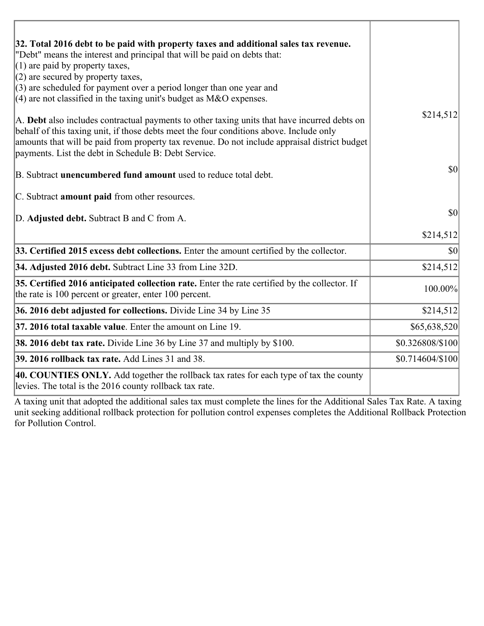| 32. Total 2016 debt to be paid with property taxes and additional sales tax revenue.                                                                                                                                                                                                                                                             |                  |
|--------------------------------------------------------------------------------------------------------------------------------------------------------------------------------------------------------------------------------------------------------------------------------------------------------------------------------------------------|------------------|
| "Debt" means the interest and principal that will be paid on debts that:<br>$(1)$ are paid by property taxes,                                                                                                                                                                                                                                    |                  |
| $(2)$ are secured by property taxes,                                                                                                                                                                                                                                                                                                             |                  |
| $(3)$ are scheduled for payment over a period longer than one year and                                                                                                                                                                                                                                                                           |                  |
| $(4)$ are not classified in the taxing unit's budget as M&O expenses.                                                                                                                                                                                                                                                                            |                  |
| A. Debt also includes contractual payments to other taxing units that have incurred debts on<br>behalf of this taxing unit, if those debts meet the four conditions above. Include only<br>amounts that will be paid from property tax revenue. Do not include appraisal district budget<br>payments. List the debt in Schedule B: Debt Service. | \$214,512        |
| B. Subtract unencumbered fund amount used to reduce total debt.                                                                                                                                                                                                                                                                                  | \$0              |
| C. Subtract amount paid from other resources.                                                                                                                                                                                                                                                                                                    |                  |
| D. Adjusted debt. Subtract B and C from A.                                                                                                                                                                                                                                                                                                       | \$0              |
|                                                                                                                                                                                                                                                                                                                                                  | \$214,512        |
| 33. Certified 2015 excess debt collections. Enter the amount certified by the collector.                                                                                                                                                                                                                                                         | $ 10\rangle$     |
| 34. Adjusted 2016 debt. Subtract Line 33 from Line 32D.                                                                                                                                                                                                                                                                                          | \$214,512        |
| 35. Certified 2016 anticipated collection rate. Enter the rate certified by the collector. If<br>the rate is 100 percent or greater, enter 100 percent.                                                                                                                                                                                          | 100.00%          |
| 36. 2016 debt adjusted for collections. Divide Line 34 by Line 35                                                                                                                                                                                                                                                                                | \$214,512        |
| 37. 2016 total taxable value. Enter the amount on Line 19.                                                                                                                                                                                                                                                                                       | \$65,638,520     |
| 38. 2016 debt tax rate. Divide Line 36 by Line 37 and multiply by \$100.                                                                                                                                                                                                                                                                         | \$0.326808/\$100 |
| 39. 2016 rollback tax rate. Add Lines 31 and 38.                                                                                                                                                                                                                                                                                                 | \$0.714604/\$100 |
| 40. COUNTIES ONLY. Add together the rollback tax rates for each type of tax the county<br>levies. The total is the 2016 county rollback tax rate.                                                                                                                                                                                                |                  |

A taxing unit that adopted the additional sales tax must complete the lines for the Additional Sales Tax Rate. A taxing unit seeking additional rollback protection for pollution control expenses completes the Additional Rollback Protection for Pollution Control.